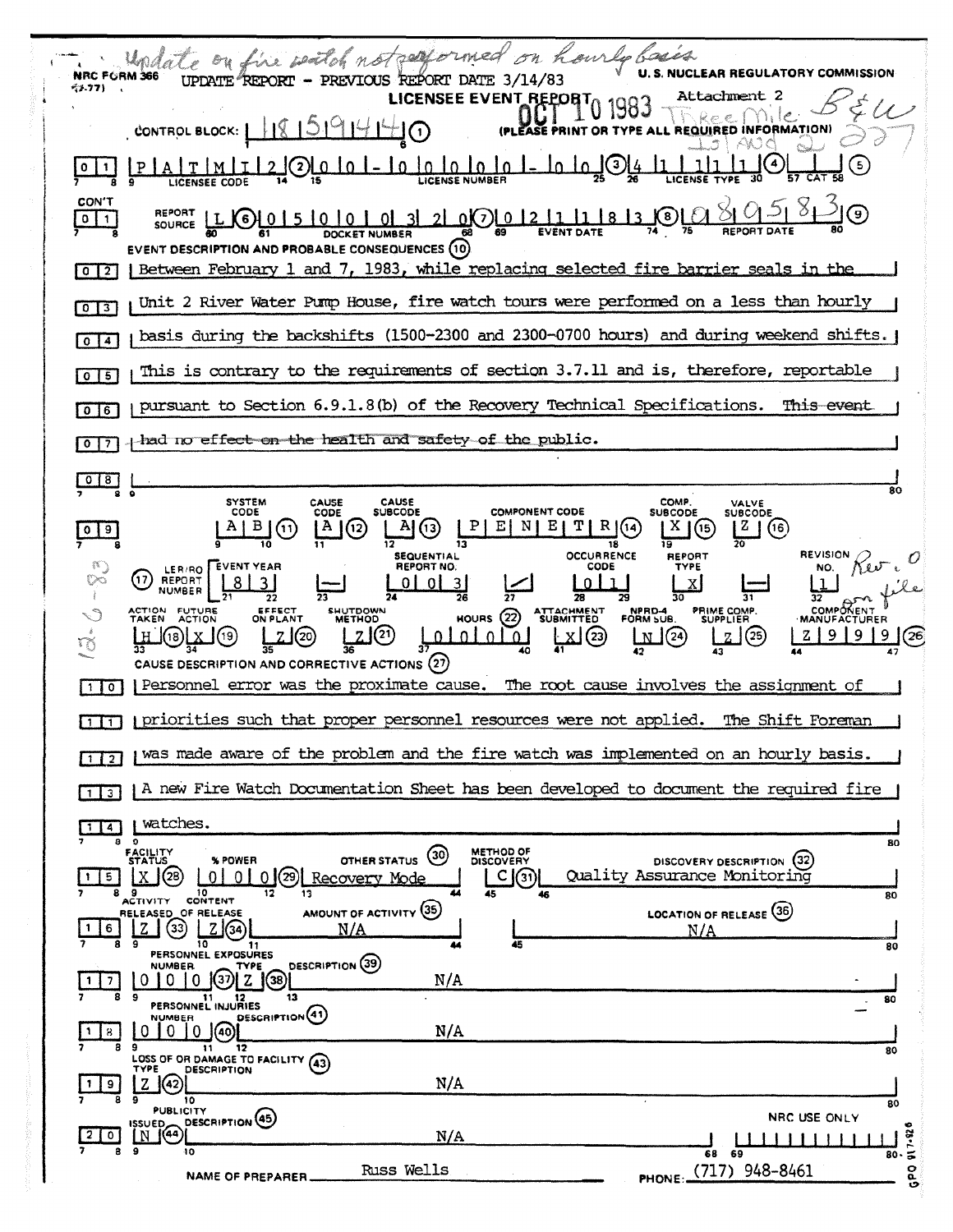| wheel on hourly bases<br>date on fire witch not palls<br><b>U.S. NUCLEAR REGULATORY COMMISSION</b><br><b>NRC FORM 366</b><br>UPDATE REPORT - PREVIOUS REPORT DATE 3/14/83                                                                                                                                                                    |
|----------------------------------------------------------------------------------------------------------------------------------------------------------------------------------------------------------------------------------------------------------------------------------------------------------------------------------------------|
| GE-77) .<br>Attachment 2<br>LICENSEE EVENT REPORT                                                                                                                                                                                                                                                                                            |
| CONTROL BLOCK:                                                                                                                                                                                                                                                                                                                               |
| 3<br>5                                                                                                                                                                                                                                                                                                                                       |
| <b>CON'T</b><br>( မှ)<br>0(7) 0 12 11<br>8<br>0<br>( 6<br>$\mathbf{1}$<br>SOURCE<br>EVENT DESCRIPTION AND PROBABLE CONSEQUENCES (10)                                                                                                                                                                                                         |
| Between February 1 and 7, 1983, while replacing selected fire barrier seals in the<br>0 <sup>2</sup>                                                                                                                                                                                                                                         |
| Unit 2 River Water Pump House, fire watch tours were performed on a less than hourly<br>$\sqrt{3}$<br>$\mathbf{0}$                                                                                                                                                                                                                           |
| basis during the backshifts (1500-2300 and 2300-0700 hours) and during weekend shifts.<br>$\overline{4}$<br>$\bullet$                                                                                                                                                                                                                        |
| This is contrary to the requirements of section 3.7.11 and is, therefore, reportable<br>$\bullet$<br>5                                                                                                                                                                                                                                       |
| pursuant to Section 6.9.1.8(b) of the Recovery Technical Specifications.<br>This event<br>6<br>$\mathbf{0}$                                                                                                                                                                                                                                  |
| had no eff <del>ect on the health and safety of th</del> e public.<br>0                                                                                                                                                                                                                                                                      |
| 80                                                                                                                                                                                                                                                                                                                                           |
| <b>SYSTEM</b><br>CAUSE<br><b>CAUSE</b><br>COMP.<br><b>VALVE</b><br><b>COMPONENT CODE</b><br><b>CODE</b><br>SUBCODE<br>CODE<br><b>SUBCODE</b><br>SUBCODE<br>Е<br>N<br>x<br>z,<br>(12)<br>(16)<br>(11)                                                                                                                                         |
| <b>OCCURRENCE</b><br><b>REVISION</b><br><b>REPORT</b><br>SEQUENTIAL<br><b>REPORT NO.</b><br><b>CODE</b><br><b>EVENT YEAR</b><br><b>TYPE</b><br>NO.<br>LER/RO<br>$\sum_{i=1}^n \alpha_i$<br>17<br><b>REPORT</b><br>01                                                                                                                         |
| <b>COMPÔNEN</b> T<br>EFFECT<br>ON PLANT<br>FUTURE<br>SHUTDOWN<br>METHOD<br>ATTACHMENT<br>SUBMITTED<br>NPRD-4<br>FORM SUB.<br><b>PRIME COMP.</b><br>SUPPLIER<br>HOURS $(22)$<br><b>TAKEN</b><br><b>ACTION</b><br>$\vec{\gamma}$<br>(21)<br>(23)<br>(19)<br>(24)<br>(25<br>20<br><b>DI</b><br>$\mathbf{0}$<br>(26<br>$\Omega$<br>-0<br>18<br>N |
| CAUSE DESCRIPTION AND CORRECTIVE ACTIONS (27)<br>Personnel error was the proximate cause.<br>The root cause involves the assignment of<br>110                                                                                                                                                                                                |
| priorities such that proper personnel resources were not applied.<br>The Shift Foreman<br>$1\overline{1}$                                                                                                                                                                                                                                    |
| was made aware of the problem and the fire watch was implemented on an hourly basis.                                                                                                                                                                                                                                                         |
| $\overline{2}$<br>A new Fire Watch Documentation Sheet has been developed to document the required fire                                                                                                                                                                                                                                      |
| $1$ 3<br>watches.                                                                                                                                                                                                                                                                                                                            |
| $\vert$ 4<br>8<br>$\circ$<br>80<br><b>METHOD OF</b><br><b>FACILITY</b><br>STATUS<br>(30)<br>OTHER STATUS                                                                                                                                                                                                                                     |
| DISCOVERY DESCRIPTION (32)<br>% POWER<br><b>DISCOVERY</b><br>Quality Assurance Monitoring<br>29)<br>(28<br>$\cap$<br>C(31)<br>5.<br>$\Omega$<br>Recovery Mode<br>10<br>13<br>45<br>46<br>80<br>CONTENT<br>ACTIVITY                                                                                                                           |
| AMOUNT OF ACTIVITY (35)<br><b>LOCATION OF RELEASE (36)</b><br>RELEASED OF RELEASE<br>33<br>Z.<br><u>N/A</u><br>6<br>34<br><u>N/A</u>                                                                                                                                                                                                         |
| 45<br>9<br>10<br>11<br>80<br>PERSONNEL EXPOSURES<br><b>DESCRIPTION</b> (39)<br><b>NUMBER</b><br>TYPE                                                                                                                                                                                                                                         |
| N/A<br>37<br>0<br>Ð<br>z<br>$\left( 38\right)$<br>-0<br>7<br>8<br>9<br>13<br>11<br>11 12<br>PERSONNEL INJURIES<br>80                                                                                                                                                                                                                         |
| DESCRIPTION(41)<br><b>NUMBER</b><br>N/A<br>8<br>O<br>(40)<br>9<br>12<br>11<br>80                                                                                                                                                                                                                                                             |
| LOSS OF OR DAMAGE TO FACILITY (43)<br>DESCRIPTION<br>TYPE<br>N/A<br>42<br>9<br>10                                                                                                                                                                                                                                                            |
| 80<br><b>PUBLICITY</b><br>NRC USE ONLY<br>DESCRIPTION <sup>(45)</sup><br>ISSUED<br>o<br>$\mathfrak{f}($ 44)<br>N/A<br>$\mathbf{0}$<br>N                                                                                                                                                                                                      |
| $\frac{1}{80}$ . $\frac{32}{5}$<br>$\mathbf{9}$<br>8<br>10<br>68 69<br>PHONE: (717) 948-8461<br>Russ Wells<br><b>Od</b><br><b>NAME OF PREPARER</b>                                                                                                                                                                                           |
|                                                                                                                                                                                                                                                                                                                                              |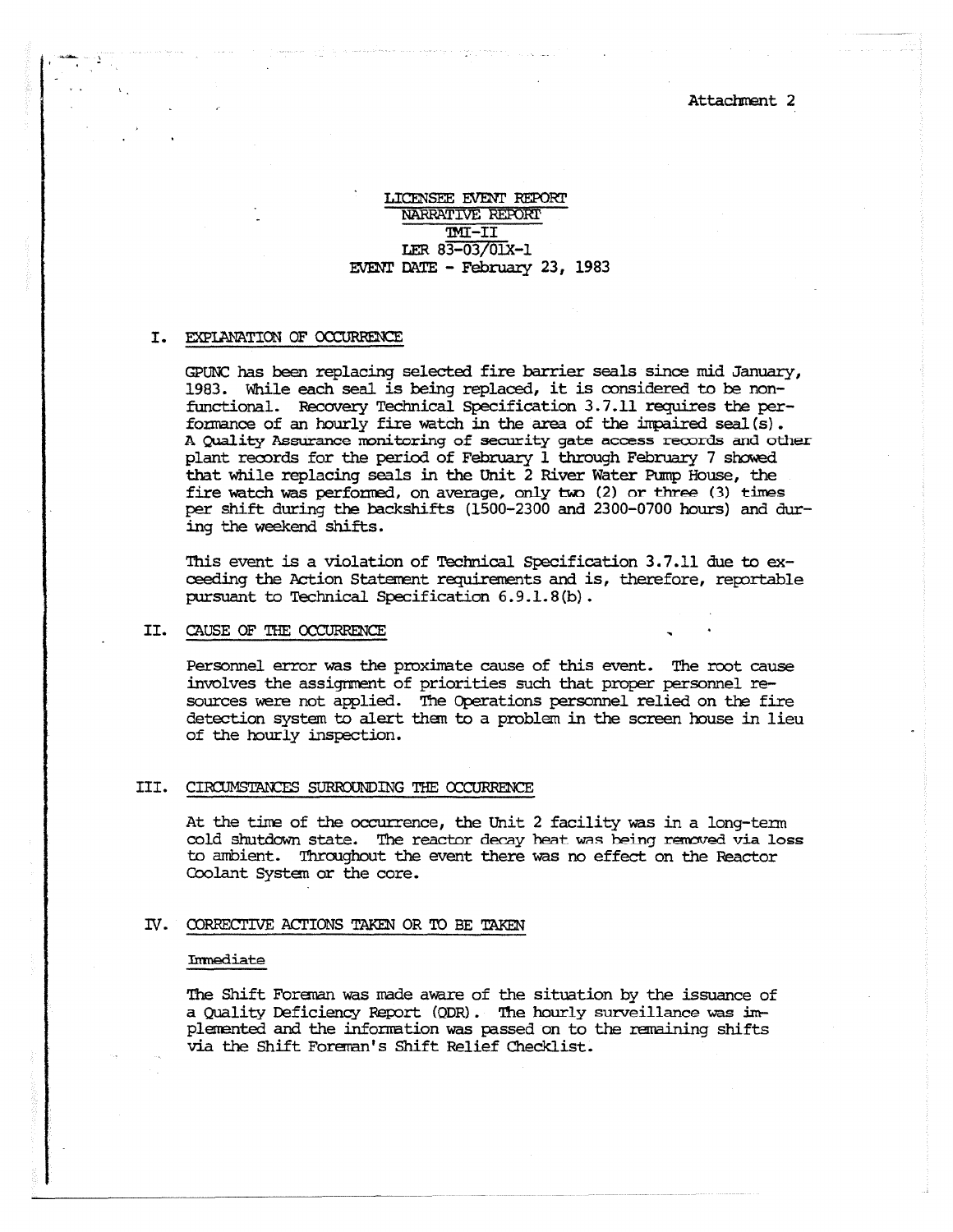Attachment 2

## LICENSEE EVENT REPORT NARRATIVE REPORT TMI-II LER 83-03/01X-1 EVENT DATE - February 23, 1983

### I. EXPLANATION OF OCCURRENCE

GPUNC has been replacing selected fire barrier seals since mid January, 1983. While each seal is being replaced, it is considered to be nonfunctional. Recovery Technical Specification 3.7.11 requires the performance of an hourly fire watch in the area of the impaired seal(s). A Quality Assurance monitoring of security gate access records and other plant records for the period of February 1 through February 7 showed that while replacing seals in the Unit 2 River Water Pump House, the fire watch was performed, on average, only two (2) or three (3) times per shift during the backshifts (1500-2300 and 2300-0700 hours) and during the weekend shifts.

This event is a violation of Technical Specification 3.7.11 due to **ex**ceeding the Action Statement requirements and is, therefore, reportable pursuant to Technical Specification 6.9.1.8(b).

### II. CAUSE OF THE OCCURRENCE

Personnel error was the proximate cause of this event. The root cause involves the assignment of priorities such that proper personnel resources were not applied. The Operations personnel relied on the fire detection system to alert them to a problem in the screen house in lieu of the hourly inspection.

### III. CIRCUMSTANCES SURROUNDING THE OCCURRENCE

At the time of the occurrence, the Unit 2 facility was in a long-term cold shutdown state. The reactor decay heat was being removed via loss to ambient. Throughout the event there was no effect on the Reactor Coolant System or the core.

### IV. CORRECTIVE ACTIONS TAKEN OR TO BE TAKEN

#### Immediate

The Shift Foreman was made aware of the situation by the issuance of a Quality Deficiency Report (QDR). The hourly surveillance was impleftented and the information was passed on to the remaining shifts via the Shift Foreman's Shift Relief Checklist.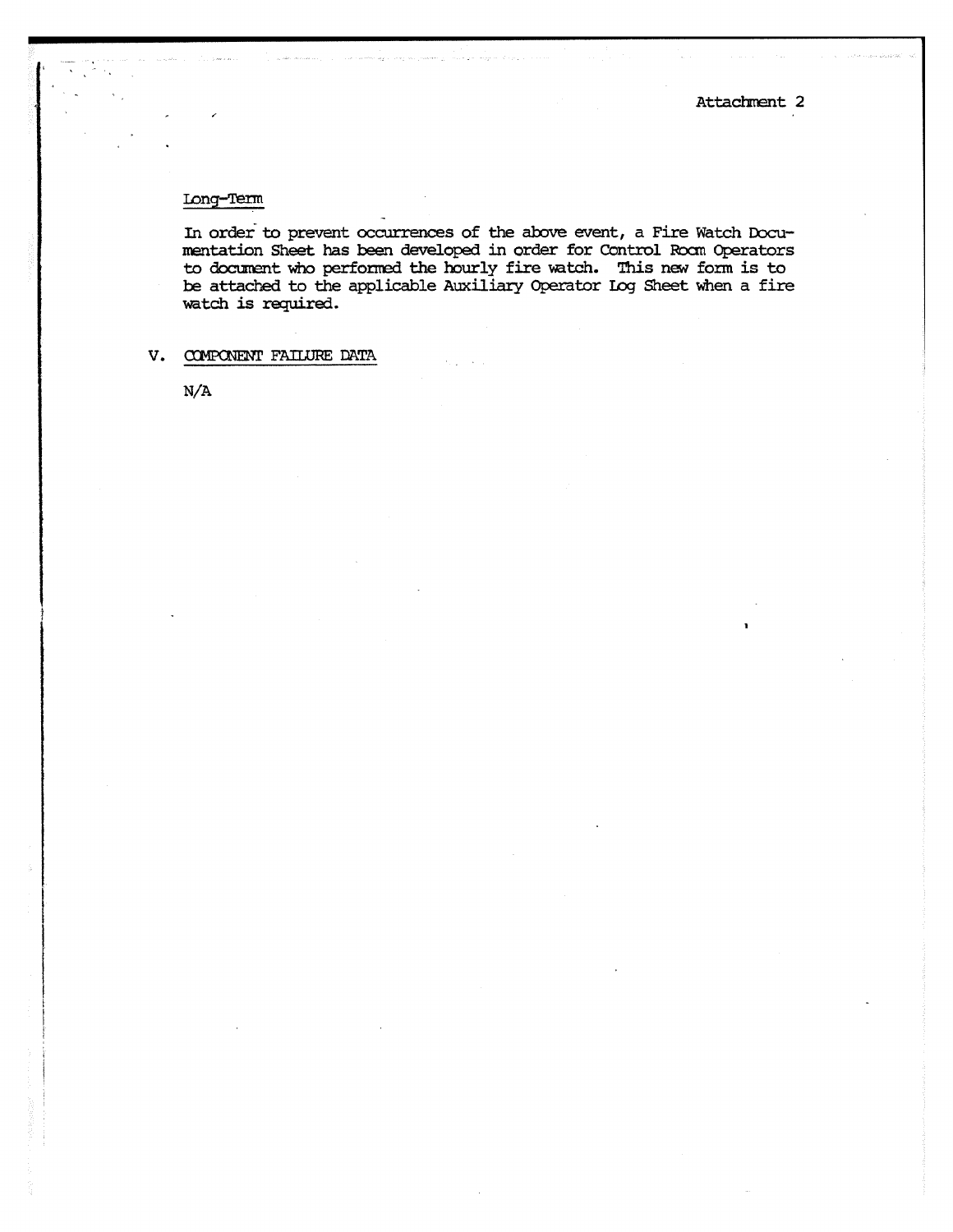# Long-Tern

In order to prevent occurrences of the above event, a Fire Watch Documentation Sheet has been developed in order for Control Roam Operators to document who performed the hourly fire watch. This new form is to be attached to the applicable Auxiliary Operator Log Sheet when a fire watch is required.

# V. ONENT FAILURE DATA

N/A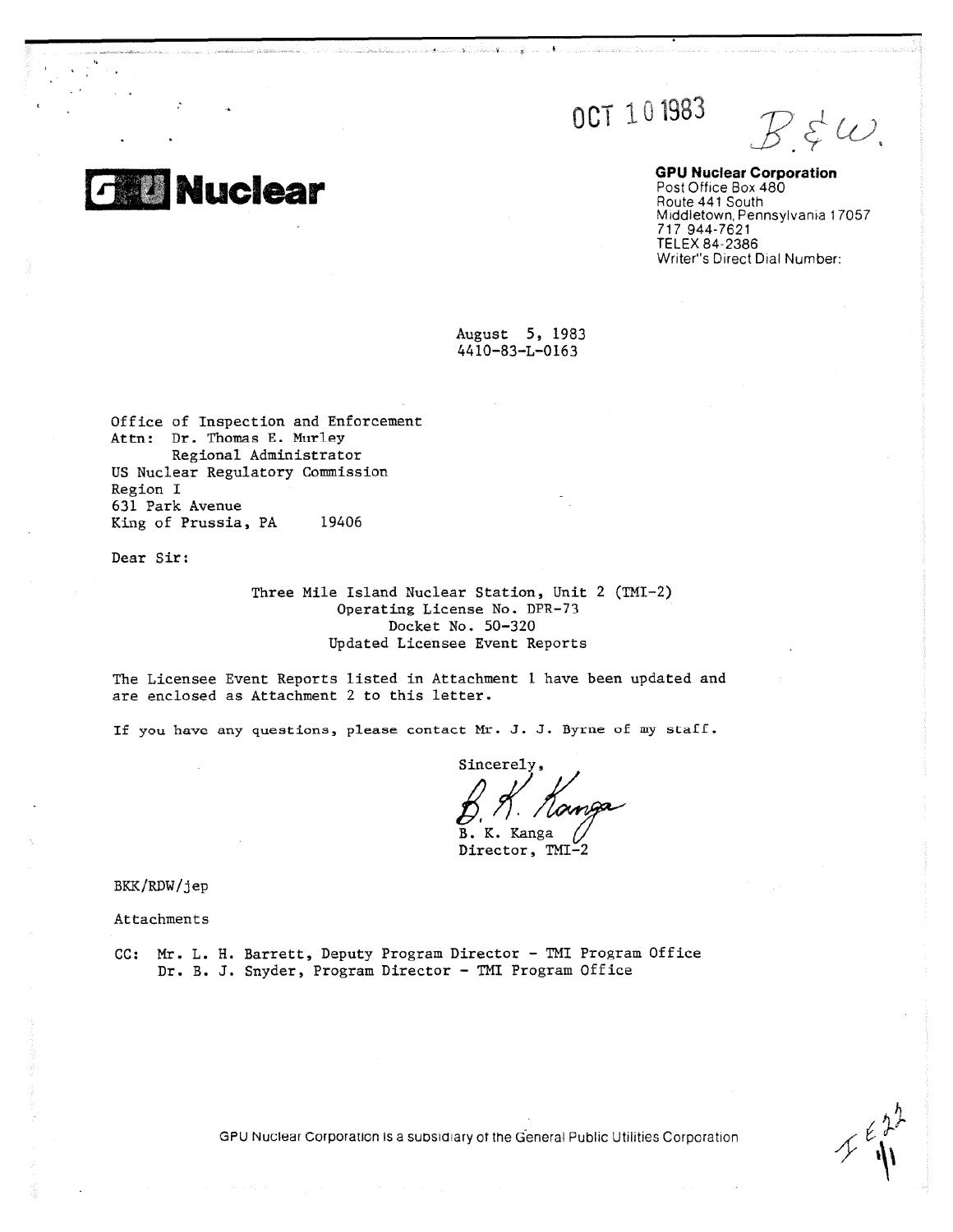OCT 101983

 $B \, \xi \, \omega$ .

**GPU Nuclear Corporation** Post Office Box 480 Route 441 South Middletown, Pennsylvania 17057 717 944-7621 TELEX 84-2386 Writer's Direct Dial Number:

August 5, 1983 4410-83-L-0163

Office of Inspection and Enforcement Attn: Dr. Thomas E. Murley Regional Administrator US Nuclear Regulatory Commission Region I 631 Park Avenue King of Prussia, PA 19406

**Nuclear**

Dear Sir:

Three Mile Island Nuclear Station, Unit 2 (TMI-2) Operating License No. DPR-73 Docket No. 50-320 Updated Licensee Event Reports

The Licensee Event Reports listed in Attachment 1 have been updated and are enclosed as Attachment 2 to this letter.

If you have any questions, please contact Mr. J. J. Byrne of my staff.

Sincerely, K. Kanga в. Director, TMI-2

BKK/RDW/jep

Attachments

CC: Mr. L. H. Barrett, Deputy Program Director - TMI Program Office Dr. B. J. Snyder, Program Director - TMI Program Office

 $\epsilon \lambda^2$ 

GPU Nuclear Corporation is a subsidiary of the General Public Utilities Corporation